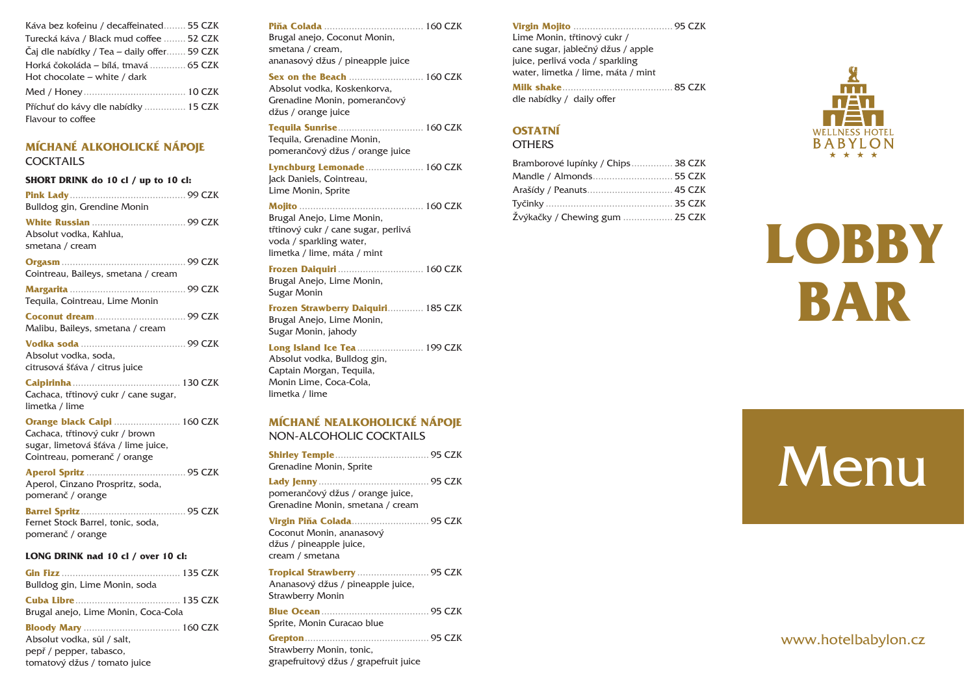| Káva bez kofeinu / decaffeinated 55 CZK    |
|--------------------------------------------|
| Turecká káva / Black mud coffee  52 CZK    |
| Caj dle nabídky / Tea – daily offer 59 CZK |
| Horká čokoláda – bílá, tmavá  65 CZK       |
| Hot chocolate $-$ white / dark             |
|                                            |
| Příchuť do kávy dle nabídky  15 CZK        |
|                                            |

#### **MÍCHANÉ ALKOHOLICKÉ NÁPOJE** COCKTAILS

| SHORT DRINK do 10 cl / up to 10 cl:                                         |  |  |  |  |
|-----------------------------------------------------------------------------|--|--|--|--|
| Bulldog gin, Grendine Monin                                                 |  |  |  |  |
| Absolut vodka, Kahlua,<br>smetana / cream                                   |  |  |  |  |
| Cointreau, Baileys, smetana / cream                                         |  |  |  |  |
| Tequila, Cointreau, Lime Monin                                              |  |  |  |  |
| Malibu, Baileys, smetana / cream                                            |  |  |  |  |
| Absolut vodka, soda,<br>citrusová šťáva / citrus juice                      |  |  |  |  |
| <b>Caipirinha</b><br>Cachaca, třtinový cukr / cane sugar,<br>limetka / lime |  |  |  |  |
| Orange black Caipi  160 CZK<br>Cachaca, třtinový cukr / brown               |  |  |  |  |

sugar, limetová šťáva / lime juice, Cointreau, pomeranč / orange

**Aperol Spritz** .................................... 95 CZK Aperol, Cinzano Prospritz, soda, pomeranč / orange

**Barrel Spritz**...................................... 95 CZK Fernet Stock Barrel, tonic, soda, pomeranč / orange

#### **LONG DRINK nad 10 cl / over 10 cl:**

| Bulldog gin, Lime Monin, soda                                                         |  |
|---------------------------------------------------------------------------------------|--|
| Brugal anejo, Lime Monin, Coca-Cola                                                   |  |
| Absolut vodka, sůl / salt,<br>pepř / pepper, tabasco,<br>tomatový džus / tomato juice |  |

## **Piňa Colada** .................................... 160 CZK

Brugal anejo, Coconut Monin, smetana / cream, ananasový džus / pineapple juice

**Sex on the Beach** ........................... 160 CZK

Absolut vodka, Koskenkorva, Grenadine Monin, pomerančový džus / orange juice

**Tequila Sunrise**............................... 160 CZK Tequila, Grenadine Monin, pomerančový džus / orange juice

**Lynchburg Lemonade**..................... 160 CZK Jack Daniels, Cointreau,

Lime Monin, Sprite

## **Mojito** ............................................. 160 CZK

Brugal Anejo, Lime Monin, třtinový cukr / cane sugar, perlivá voda / sparkling water, limetka / lime, máta / mint

**Frozen Daiquiri** ............................... 160 CZK Brugal Anejo, Lime Monin, Sugar Monin

**Frozen Strawberry Daiquiri**............. 185 CZK Brugal Anejo, Lime Monin, Sugar Monin, jahody

#### **Long Island Ice Tea** ........................ 199 CZK

Absolut vodka, Bulldog gin, Captain Morgan, Tequila, Monin Lime, Coca-Cola, limetka / lime

#### **MÍCHANÉ NEALKOHOLICKÉ NÁPOJE** NON-ALCOHOLIC COCKTAILS

| Grenadine Monin, Sprite                                                              |  |
|--------------------------------------------------------------------------------------|--|
| pomerančový džus / orange juice,<br>Grenadine Monin, smetana / cream                 |  |
| Coconut Monin, ananasový<br>džus / pineapple juice,<br>cream / smetana               |  |
| Tropical Strawberry  95 CZK<br>Ananasový džus / pineapple juice,<br>Strawberry Monin |  |
| Sprite, Monin Curacao blue                                                           |  |
| Strawberry Monin, tonic,<br>grapefruitový džus / grapefruit juice                    |  |

#### **Virgin Mojito** .................................... 95 CZK Lime Monin, třtinový cukr / cane sugar, jablečný džus / apple juice, perlivá voda / sparkling water, limetka / lime, máta / mint

|  | dle nabídky / daily offer |  |  |  |
|--|---------------------------|--|--|--|

# **OSTATNÍ**

**OTHERS** 

| Bramborové lupínky / Chips 38 CZK |  |
|-----------------------------------|--|
| Mandle / Almonds 55 CZK           |  |
| Arašídy / Peanuts 45 CZK          |  |
|                                   |  |
| Žvýkačky / Chewing gum  25 CZK    |  |



# **LOBBY BAR**

# **Menu**

# www.hotelbabylon.cz